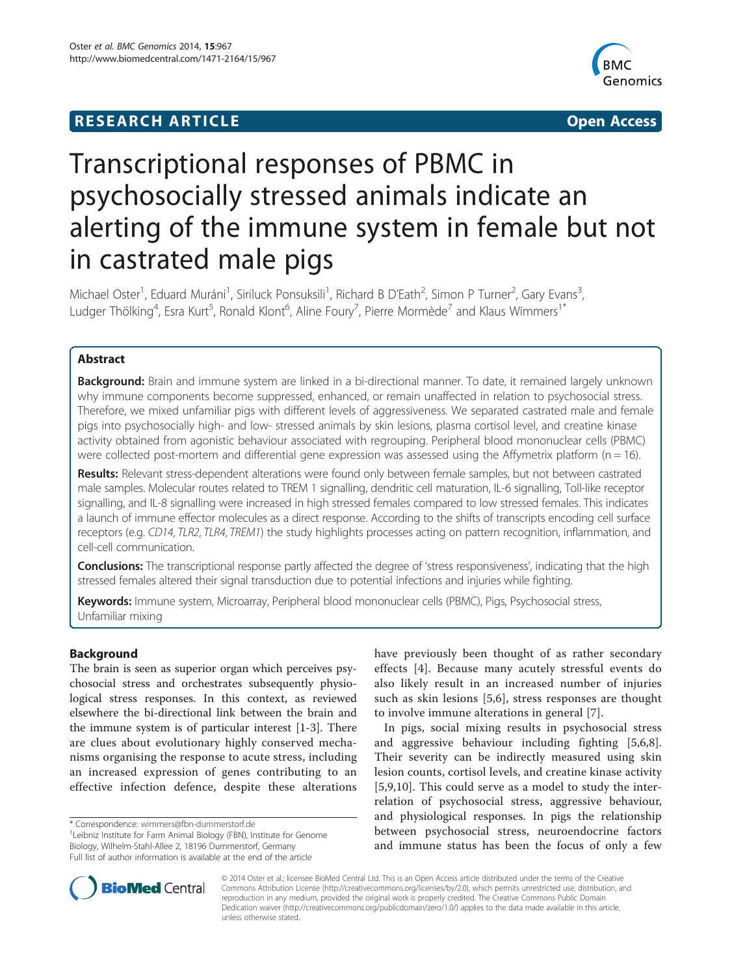# **RESEARCH ARTICLE Example 2014 12:30 The SEAR CH ACCESS**



# Transcriptional responses of PBMC in psychosocially stressed animals indicate an alerting of the immune system in female but not in castrated male pigs

Michael Oster<sup>1</sup>, Eduard Muráni<sup>1</sup>, Siriluck Ponsuksili<sup>1</sup>, Richard B D'Eath<sup>2</sup>, Simon P Turner<sup>2</sup>, Gary Evans<sup>3</sup> , Ludger Thölking<sup>4</sup>, Esra Kurt<sup>5</sup>, Ronald Klont<sup>6</sup>, Aline Foury<sup>7</sup>, Pierre Mormède<sup>7</sup> and Klaus Wimmers<sup>1\*</sup>

# Abstract

Background: Brain and immune system are linked in a bi-directional manner. To date, it remained largely unknown why immune components become suppressed, enhanced, or remain unaffected in relation to psychosocial stress. Therefore, we mixed unfamiliar pigs with different levels of aggressiveness. We separated castrated male and female pigs into psychosocially high- and low- stressed animals by skin lesions, plasma cortisol level, and creatine kinase activity obtained from agonistic behaviour associated with regrouping. Peripheral blood mononuclear cells (PBMC) were collected post-mortem and differential gene expression was assessed using the Affymetrix platform ( $n = 16$ ).

Results: Relevant stress-dependent alterations were found only between female samples, but not between castrated male samples. Molecular routes related to TREM 1 signalling, dendritic cell maturation, IL-6 signalling, Toll-like receptor signalling, and IL-8 signalling were increased in high stressed females compared to low stressed females. This indicates a launch of immune effector molecules as a direct response. According to the shifts of transcripts encoding cell surface receptors (e.g. CD14, TLR2, TLR4, TREM1) the study highlights processes acting on pattern recognition, inflammation, and cell-cell communication.

Conclusions: The transcriptional response partly affected the degree of 'stress responsiveness', indicating that the high stressed females altered their signal transduction due to potential infections and injuries while fighting.

Keywords: Immune system, Microarray, Peripheral blood mononuclear cells (PBMC), Pigs, Psychosocial stress, Unfamiliar mixing

# Background

The brain is seen as superior organ which perceives psychosocial stress and orchestrates subsequently physiological stress responses. In this context, as reviewed elsewhere the bi-directional link between the brain and the immune system is of particular interest [[1-3](#page-9-0)]. There are clues about evolutionary highly conserved mechanisms organising the response to acute stress, including an increased expression of genes contributing to an effective infection defence, despite these alterations

<sup>1</sup>Leibniz Institute for Farm Animal Biology (FBN), Institute for Genome Biology, Wilhelm-Stahl-Allee 2, 18196 Dummerstorf, Germany Full list of author information is available at the end of the article

have previously been thought of as rather secondary effects [[4](#page-9-0)]. Because many acutely stressful events do also likely result in an increased number of injuries such as skin lesions [[5,6](#page-9-0)], stress responses are thought to involve immune alterations in general [[7\]](#page-9-0).

In pigs, social mixing results in psychosocial stress and aggressive behaviour including fighting [[5,6,8](#page-9-0)]. Their severity can be indirectly measured using skin lesion counts, cortisol levels, and creatine kinase activity [[5,9](#page-9-0),[10\]](#page-9-0). This could serve as a model to study the interrelation of psychosocial stress, aggressive behaviour, and physiological responses. In pigs the relationship between psychosocial stress, neuroendocrine factors and immune status has been the focus of only a few



© 2014 Oster et al.; licensee BioMed Central Ltd. This is an Open Access article distributed under the terms of the Creative Commons Attribution License [\(http://creativecommons.org/licenses/by/2.0\)](http://creativecommons.org/licenses/by/2.0), which permits unrestricted use, distribution, and reproduction in any medium, provided the original work is properly credited. The Creative Commons Public Domain Dedication waiver [\(http://creativecommons.org/publicdomain/zero/1.0/](http://creativecommons.org/publicdomain/zero/1.0/)) applies to the data made available in this article, unless otherwise stated.

<sup>\*</sup> Correspondence: [wimmers@fbn-dummerstorf.de](mailto:wimmers@fbn-dummerstorf.de) <sup>1</sup>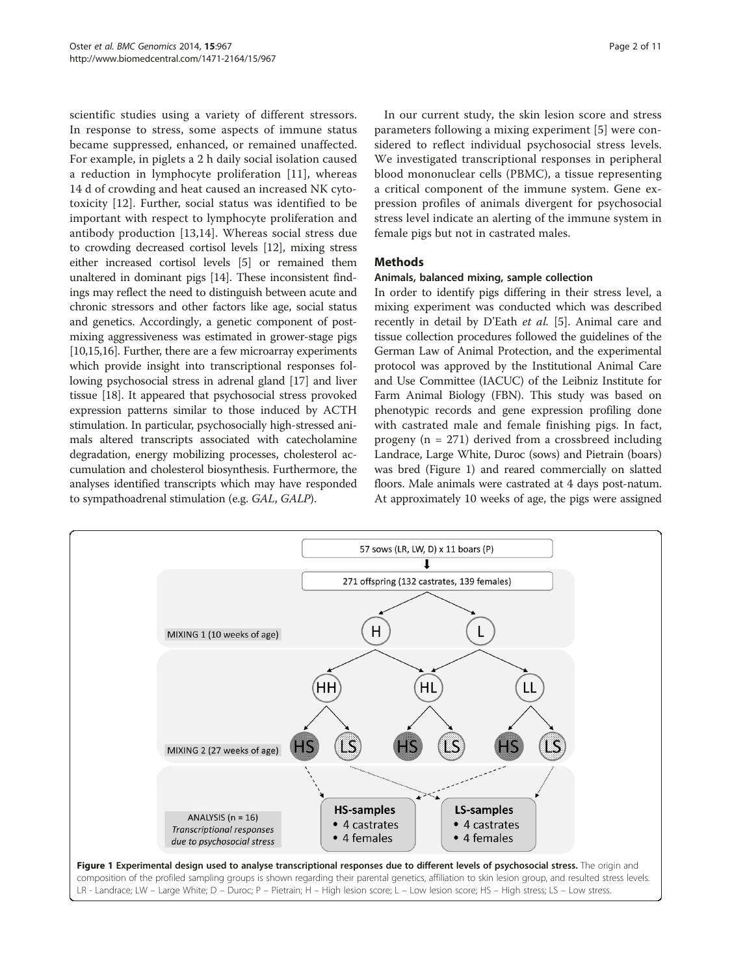<span id="page-1-0"></span>scientific studies using a variety of different stressors. In response to stress, some aspects of immune status became suppressed, enhanced, or remained unaffected. For example, in piglets a 2 h daily social isolation caused a reduction in lymphocyte proliferation [[11\]](#page-9-0), whereas 14 d of crowding and heat caused an increased NK cytotoxicity [[12\]](#page-9-0). Further, social status was identified to be important with respect to lymphocyte proliferation and antibody production [[13,14\]](#page-9-0). Whereas social stress due to crowding decreased cortisol levels [\[12\]](#page-9-0), mixing stress either increased cortisol levels [[5\]](#page-9-0) or remained them unaltered in dominant pigs [\[14\]](#page-9-0). These inconsistent findings may reflect the need to distinguish between acute and chronic stressors and other factors like age, social status and genetics. Accordingly, a genetic component of postmixing aggressiveness was estimated in grower-stage pigs [[10,15,16\]](#page-9-0). Further, there are a few microarray experiments which provide insight into transcriptional responses following psychosocial stress in adrenal gland [[17](#page-9-0)] and liver tissue [\[18\]](#page-9-0). It appeared that psychosocial stress provoked expression patterns similar to those induced by ACTH stimulation. In particular, psychosocially high-stressed animals altered transcripts associated with catecholamine degradation, energy mobilizing processes, cholesterol accumulation and cholesterol biosynthesis. Furthermore, the analyses identified transcripts which may have responded to sympathoadrenal stimulation (e.g. GAL, GALP).

In our current study, the skin lesion score and stress parameters following a mixing experiment [\[5](#page-9-0)] were considered to reflect individual psychosocial stress levels. We investigated transcriptional responses in peripheral blood mononuclear cells (PBMC), a tissue representing a critical component of the immune system. Gene expression profiles of animals divergent for psychosocial stress level indicate an alerting of the immune system in female pigs but not in castrated males.

# Methods

#### Animals, balanced mixing, sample collection

In order to identify pigs differing in their stress level, a mixing experiment was conducted which was described recently in detail by D'Eath et al. [\[5\]](#page-9-0). Animal care and tissue collection procedures followed the guidelines of the German Law of Animal Protection, and the experimental protocol was approved by the Institutional Animal Care and Use Committee (IACUC) of the Leibniz Institute for Farm Animal Biology (FBN). This study was based on phenotypic records and gene expression profiling done with castrated male and female finishing pigs. In fact, progeny (n = 271) derived from a crossbreed including Landrace, Large White, Duroc (sows) and Pietrain (boars) was bred (Figure 1) and reared commercially on slatted floors. Male animals were castrated at 4 days post-natum. At approximately 10 weeks of age, the pigs were assigned

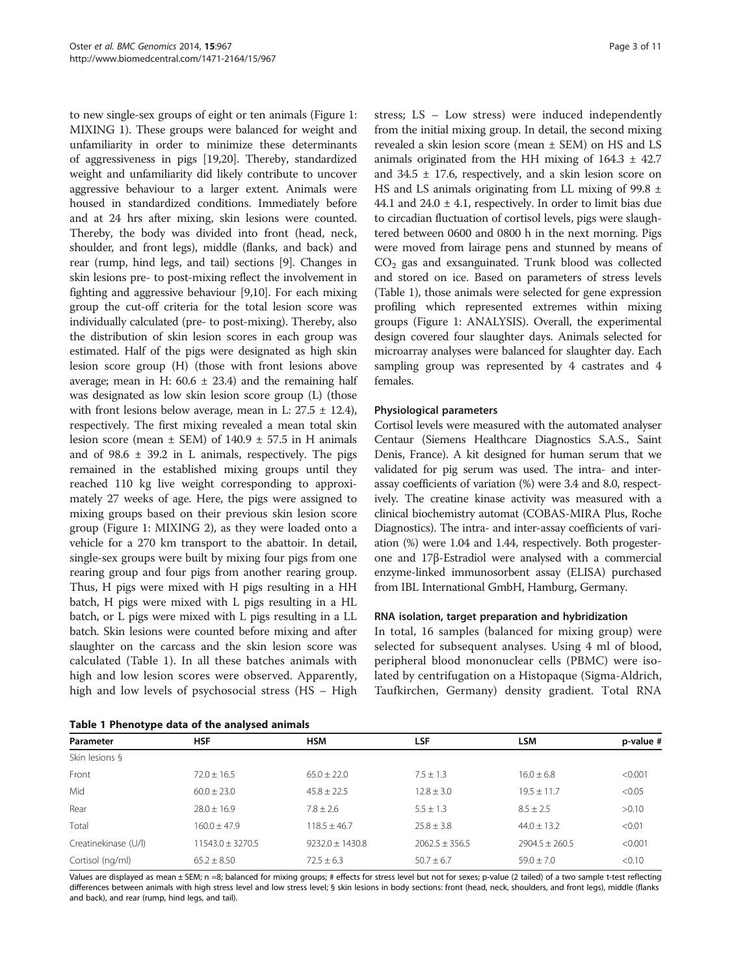<span id="page-2-0"></span>to new single-sex groups of eight or ten animals (Figure [1](#page-1-0): MIXING 1). These groups were balanced for weight and unfamiliarity in order to minimize these determinants of aggressiveness in pigs [\[19,20\]](#page-9-0). Thereby, standardized weight and unfamiliarity did likely contribute to uncover aggressive behaviour to a larger extent. Animals were housed in standardized conditions. Immediately before and at 24 hrs after mixing, skin lesions were counted. Thereby, the body was divided into front (head, neck, shoulder, and front legs), middle (flanks, and back) and rear (rump, hind legs, and tail) sections [\[9](#page-9-0)]. Changes in skin lesions pre- to post-mixing reflect the involvement in fighting and aggressive behaviour [[9,10](#page-9-0)]. For each mixing group the cut-off criteria for the total lesion score was individually calculated (pre- to post-mixing). Thereby, also the distribution of skin lesion scores in each group was estimated. Half of the pigs were designated as high skin lesion score group (H) (those with front lesions above average; mean in H:  $60.6 \pm 23.4$ ) and the remaining half was designated as low skin lesion score group (L) (those with front lesions below average, mean in L:  $27.5 \pm 12.4$ ), respectively. The first mixing revealed a mean total skin lesion score (mean  $\pm$  SEM) of 140.9  $\pm$  57.5 in H animals and of  $98.6 \pm 39.2$  in L animals, respectively. The pigs remained in the established mixing groups until they reached 110 kg live weight corresponding to approximately 27 weeks of age. Here, the pigs were assigned to mixing groups based on their previous skin lesion score group (Figure [1](#page-1-0): MIXING 2), as they were loaded onto a vehicle for a 270 km transport to the abattoir. In detail, single-sex groups were built by mixing four pigs from one rearing group and four pigs from another rearing group. Thus, H pigs were mixed with H pigs resulting in a HH batch, H pigs were mixed with L pigs resulting in a HL batch, or L pigs were mixed with L pigs resulting in a LL batch. Skin lesions were counted before mixing and after slaughter on the carcass and the skin lesion score was calculated (Table 1). In all these batches animals with high and low lesion scores were observed. Apparently, high and low levels of psychosocial stress (HS – High

Table 1 Phenotype data of the analysed animals

stress; LS – Low stress) were induced independently from the initial mixing group. In detail, the second mixing revealed a skin lesion score (mean ± SEM) on HS and LS animals originated from the HH mixing of  $164.3 \pm 42.7$ and  $34.5 \pm 17.6$ , respectively, and a skin lesion score on HS and LS animals originating from LL mixing of 99.8  $\pm$ 44.1 and  $24.0 \pm 4.1$ , respectively. In order to limit bias due to circadian fluctuation of cortisol levels, pigs were slaughtered between 0600 and 0800 h in the next morning. Pigs were moved from lairage pens and stunned by means of  $CO<sub>2</sub>$  gas and exsanguinated. Trunk blood was collected and stored on ice. Based on parameters of stress levels (Table 1), those animals were selected for gene expression profiling which represented extremes within mixing groups (Figure [1](#page-1-0): ANALYSIS). Overall, the experimental design covered four slaughter days. Animals selected for microarray analyses were balanced for slaughter day. Each sampling group was represented by 4 castrates and 4 females.

#### Physiological parameters

Cortisol levels were measured with the automated analyser Centaur (Siemens Healthcare Diagnostics S.A.S., Saint Denis, France). A kit designed for human serum that we validated for pig serum was used. The intra- and interassay coefficients of variation (%) were 3.4 and 8.0, respectively. The creatine kinase activity was measured with a clinical biochemistry automat (COBAS-MIRA Plus, Roche Diagnostics). The intra- and inter-assay coefficients of variation (%) were 1.04 and 1.44, respectively. Both progesterone and 17β-Estradiol were analysed with a commercial enzyme-linked immunosorbent assay (ELISA) purchased from IBL International GmbH, Hamburg, Germany.

#### RNA isolation, target preparation and hybridization

In total, 16 samples (balanced for mixing group) were selected for subsequent analyses. Using 4 ml of blood, peripheral blood mononuclear cells (PBMC) were isolated by centrifugation on a Histopaque (Sigma-Aldrich, Taufkirchen, Germany) density gradient. Total RNA

| Table T Phenotype data of the analysed animals |                      |                   |                  |                    |           |  |  |  |  |
|------------------------------------------------|----------------------|-------------------|------------------|--------------------|-----------|--|--|--|--|
| Parameter                                      | <b>HSF</b>           | <b>HSM</b>        | LSF              | LSM                | p-value # |  |  |  |  |
| Skin lesions §                                 |                      |                   |                  |                    |           |  |  |  |  |
| Front                                          | $72.0 + 16.5$        | $65.0 + 22.0$     | $7.5 + 1.3$      | $16.0 + 6.8$       | < 0.001   |  |  |  |  |
| Mid                                            | $60.0 \pm 23.0$      | $45.8 \pm 22.5$   | $12.8 \pm 3.0$   | $19.5 + 11.7$      | < 0.05    |  |  |  |  |
| Rear                                           | $78.0 + 16.9$        | $7.8 + 2.6$       | $5.5 + 1.3$      | $8.5 + 2.5$        | >0.10     |  |  |  |  |
| Total                                          | $160.0 + 47.9$       | $118.5 \pm 46.7$  | $25.8 \pm 3.8$   | $44.0 \pm 13.2$    | < 0.01    |  |  |  |  |
| Creatinekinase (U/l)                           | $11543.0 \pm 3270.5$ | $9232.0 + 1430.8$ | $2062.5 + 356.5$ | $2904.5 \pm 260.5$ | < 0.001   |  |  |  |  |
| Cortisol (ng/ml)                               | $65.2 \pm 8.50$      | $72.5 \pm 6.3$    | $50.7 + 6.7$     | $59.0 + 7.0$       | < 0.10    |  |  |  |  |
|                                                |                      |                   |                  |                    |           |  |  |  |  |

Values are displayed as mean ± SEM; n =8; balanced for mixing groups; # effects for stress level but not for sexes; p-value (2 tailed) of a two sample t-test reflecting differences between animals with high stress level and low stress level; § skin lesions in body sections: front (head, neck, shoulders, and front legs), middle (flanks and back), and rear (rump, hind legs, and tail).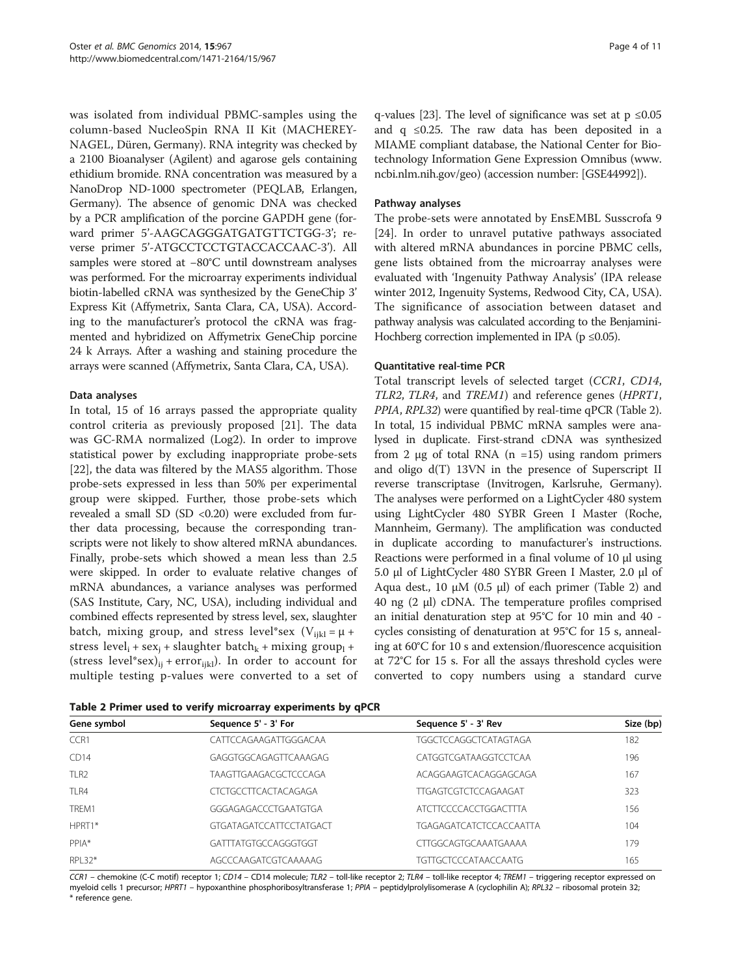was isolated from individual PBMC-samples using the column-based NucleoSpin RNA II Kit (MACHEREY-NAGEL, Düren, Germany). RNA integrity was checked by a 2100 Bioanalyser (Agilent) and agarose gels containing ethidium bromide. RNA concentration was measured by a NanoDrop ND-1000 spectrometer (PEQLAB, Erlangen, Germany). The absence of genomic DNA was checked by a PCR amplification of the porcine GAPDH gene (forward primer 5'-AAGCAGGGATGATGTTCTGG-3'; reverse primer 5'-ATGCCTCCTGTACCACCAAC-3'). All samples were stored at −80°C until downstream analyses was performed. For the microarray experiments individual biotin-labelled cRNA was synthesized by the GeneChip 3' Express Kit (Affymetrix, Santa Clara, CA, USA). According to the manufacturer's protocol the cRNA was fragmented and hybridized on Affymetrix GeneChip porcine 24 k Arrays. After a washing and staining procedure the arrays were scanned (Affymetrix, Santa Clara, CA, USA).

# Data analyses

In total, 15 of 16 arrays passed the appropriate quality control criteria as previously proposed [[21\]](#page-9-0). The data was GC-RMA normalized (Log2). In order to improve statistical power by excluding inappropriate probe-sets [[22\]](#page-9-0), the data was filtered by the MAS5 algorithm. Those probe-sets expressed in less than 50% per experimental group were skipped. Further, those probe-sets which revealed a small SD (SD <0.20) were excluded from further data processing, because the corresponding transcripts were not likely to show altered mRNA abundances. Finally, probe-sets which showed a mean less than 2.5 were skipped. In order to evaluate relative changes of mRNA abundances, a variance analyses was performed (SAS Institute, Cary, NC, USA), including individual and combined effects represented by stress level, sex, slaughter batch, mixing group, and stress level\*sex  $(V_{ijkl} = \mu +$ stress level<sub>i</sub> + sex<sub>i</sub> + slaughter batch<sub>k</sub> + mixing group<sub>l</sub> + (stress level\*sex)<sub>ij</sub> + error<sub>ijkl</sub>). In order to account for multiple testing p-values were converted to a set of

q-values [\[23\]](#page-9-0). The level of significance was set at  $p \le 0.05$ and q ≤0.25. The raw data has been deposited in a MIAME compliant database, the National Center for Biotechnology Information Gene Expression Omnibus [\(www.](http://www.ncbi.nlm.nih.gov/geo) [ncbi.nlm.nih.gov/geo](http://www.ncbi.nlm.nih.gov/geo)) (accession number: [GSE44992]).

# Pathway analyses

The probe-sets were annotated by EnsEMBL Susscrofa 9 [[24\]](#page-9-0). In order to unravel putative pathways associated with altered mRNA abundances in porcine PBMC cells, gene lists obtained from the microarray analyses were evaluated with 'Ingenuity Pathway Analysis' (IPA release winter 2012, Ingenuity Systems, Redwood City, CA, USA). The significance of association between dataset and pathway analysis was calculated according to the Benjamini-Hochberg correction implemented in IPA ( $p \leq 0.05$ ).

# Quantitative real-time PCR

Total transcript levels of selected target (CCR1, CD14, TLR2, TLR4, and TREM1) and reference genes (HPRT1, PPIA, RPL32) were quantified by real-time qPCR (Table 2). In total, 15 individual PBMC mRNA samples were analysed in duplicate. First-strand cDNA was synthesized from 2 μg of total RNA (n =15) using random primers and oligo d(T) 13VN in the presence of Superscript II reverse transcriptase (Invitrogen, Karlsruhe, Germany). The analyses were performed on a LightCycler 480 system using LightCycler 480 SYBR Green I Master (Roche, Mannheim, Germany). The amplification was conducted in duplicate according to manufacturer's instructions. Reactions were performed in a final volume of 10 μl using 5.0 μl of LightCycler 480 SYBR Green I Master, 2.0 μl of Aqua dest., 10 μM (0.5 μl) of each primer (Table 2) and 40 ng (2 μl) cDNA. The temperature profiles comprised an initial denaturation step at 95°C for 10 min and 40 cycles consisting of denaturation at 95°C for 15 s, annealing at 60°C for 10 s and extension/fluorescence acquisition at 72°C for 15 s. For all the assays threshold cycles were converted to copy numbers using a standard curve

| Table 2 Primer used to verify microarray experiments by qPCR |  |
|--------------------------------------------------------------|--|
|--------------------------------------------------------------|--|

| Gene symbol      | Sequence 5' - 3' For           | Sequence 5' - 3' Rev           | Size (bp) |
|------------------|--------------------------------|--------------------------------|-----------|
| CCR1             | CATTCCAGAAGATTGGGACAA          | <b>TGGCTCCAGGCTCATAGTAGA</b>   | 182       |
| CD14             | GAGGTGGCAGAGTTCAAAGAG          | CATGGTCGATAAGGTCCTCAA          | 196       |
| TLR <sub>2</sub> | TAAGTTGAAGACGCTCCCAGA          | ACAGGAAGTCACAGGAGCAGA          | 167       |
| <b>TI R4</b>     | <b>CTCTGCCTTCACTACAGAGA</b>    | <b>TTGAGTCGTCTCCAGAAGAT</b>    | 323       |
| TREM1            | GGGAGAGACCCTGAATGTGA           | ATCTTCCCCACCTGGACTTTA          | 156       |
| HPRT1*           | <b>GTGATAGATCCATTCCTATGACT</b> | <b>TGAGAGATCATCTCCACCAATTA</b> | 104       |
| $PPIA*$          | GATTTATGTGCCAGGGTGGT           | CITGGCAGTGCAAATGAAAA           | 179       |
| RPI 32*          | AGCCCAAGATCGTCAAAAAG           | <b>TGTTGCTCCCATAACCAATG</b>    | 165       |

CCR1 - chemokine (C-C motif) receptor 1; CD14 - CD14 molecule; TLR2 - toll-like receptor 2; TLR4 - toll-like receptor 4; TREM1 - triggering receptor expressed on myeloid cells 1 precursor; HPRT1 – hypoxanthine phosphoribosyltransferase 1; PPIA – peptidylprolylisomerase A (cyclophilin A); RPL32 – ribosomal protein 32; \* reference gene.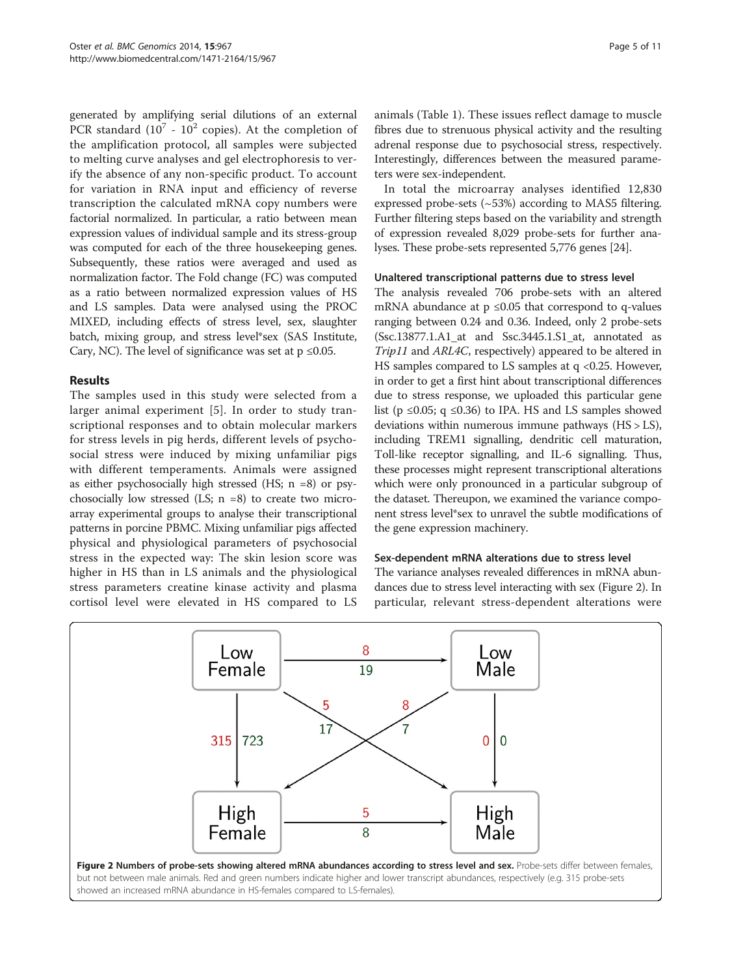<span id="page-4-0"></span>generated by amplifying serial dilutions of an external PCR standard  $(10^7 - 10^2$  copies). At the completion of the amplification protocol, all samples were subjected to melting curve analyses and gel electrophoresis to verify the absence of any non-specific product. To account for variation in RNA input and efficiency of reverse transcription the calculated mRNA copy numbers were factorial normalized. In particular, a ratio between mean expression values of individual sample and its stress-group was computed for each of the three housekeeping genes. Subsequently, these ratios were averaged and used as normalization factor. The Fold change (FC) was computed as a ratio between normalized expression values of HS and LS samples. Data were analysed using the PROC MIXED, including effects of stress level, sex, slaughter batch, mixing group, and stress level\*sex (SAS Institute, Cary, NC). The level of significance was set at  $p \le 0.05$ .

# Results

The samples used in this study were selected from a larger animal experiment [[5\]](#page-9-0). In order to study transcriptional responses and to obtain molecular markers for stress levels in pig herds, different levels of psychosocial stress were induced by mixing unfamiliar pigs with different temperaments. Animals were assigned as either psychosocially high stressed (HS;  $n = 8$ ) or psychosocially low stressed (LS; n =8) to create two microarray experimental groups to analyse their transcriptional patterns in porcine PBMC. Mixing unfamiliar pigs affected physical and physiological parameters of psychosocial stress in the expected way: The skin lesion score was higher in HS than in LS animals and the physiological stress parameters creatine kinase activity and plasma cortisol level were elevated in HS compared to LS animals (Table [1\)](#page-2-0). These issues reflect damage to muscle fibres due to strenuous physical activity and the resulting adrenal response due to psychosocial stress, respectively. Interestingly, differences between the measured parameters were sex-independent.

In total the microarray analyses identified 12,830 expressed probe-sets (~53%) according to MAS5 filtering. Further filtering steps based on the variability and strength of expression revealed 8,029 probe-sets for further analyses. These probe-sets represented 5,776 genes [\[24](#page-9-0)].

#### Unaltered transcriptional patterns due to stress level

The analysis revealed 706 probe-sets with an altered mRNA abundance at  $p \leq 0.05$  that correspond to q-values ranging between 0.24 and 0.36. Indeed, only 2 probe-sets (Ssc.13877.1.A1\_at and Ssc.3445.1.S1\_at, annotated as Trip11 and ARL4C, respectively) appeared to be altered in HS samples compared to LS samples at q <0.25. However, in order to get a first hint about transcriptional differences due to stress response, we uploaded this particular gene list (p  $\leq$ 0.05; q  $\leq$ 0.36) to IPA. HS and LS samples showed deviations within numerous immune pathways  $(HS > LS)$ , including TREM1 signalling, dendritic cell maturation, Toll-like receptor signalling, and IL-6 signalling. Thus, these processes might represent transcriptional alterations which were only pronounced in a particular subgroup of the dataset. Thereupon, we examined the variance component stress level\*sex to unravel the subtle modifications of the gene expression machinery.

#### Sex-dependent mRNA alterations due to stress level

The variance analyses revealed differences in mRNA abundances due to stress level interacting with sex (Figure 2). In particular, relevant stress-dependent alterations were

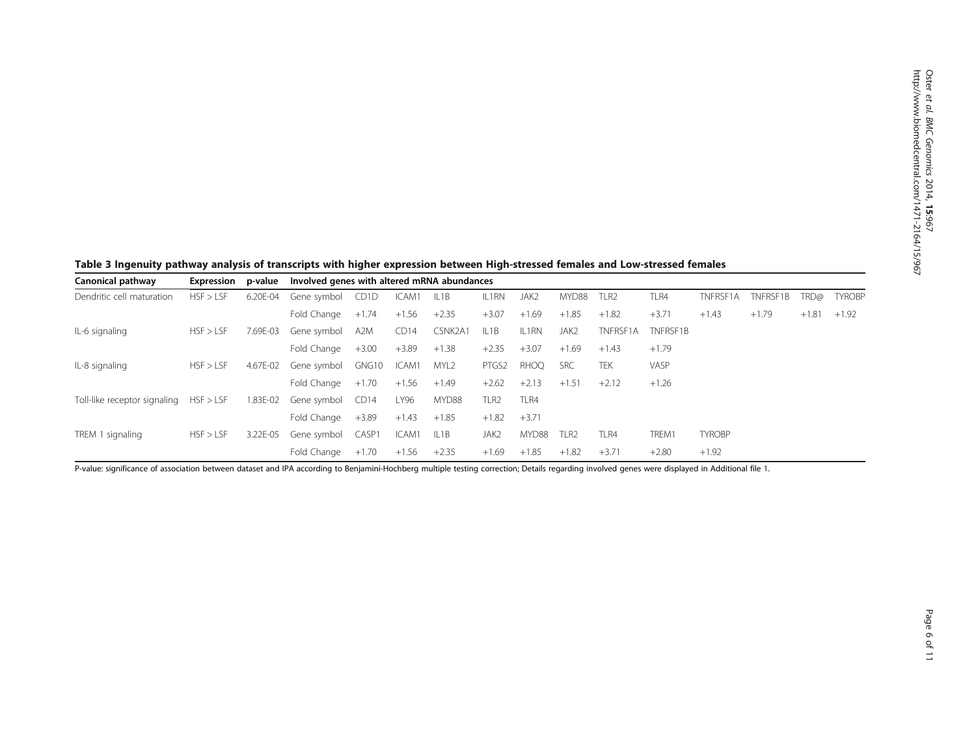<span id="page-5-0"></span>Table 3 Ingenuity pathway analysis of transcripts with higher expression between High-stressed females and Low-stressed females

| Canonical pathway            | Expression p-value |          | Involved genes with altered mRNA abundances |                   |         |                   |                   |         |            |                  |          |               |          |         |               |
|------------------------------|--------------------|----------|---------------------------------------------|-------------------|---------|-------------------|-------------------|---------|------------|------------------|----------|---------------|----------|---------|---------------|
| Dendritic cell maturation    | HSF > LSF          | 6.20E-04 | Gene symbol                                 | CD <sub>1</sub> D | ICAM1   | IL <sub>1</sub> B | IL1RN             | JAK2    | MYD88      | TLR <sub>2</sub> | TLR4     | TNFRSF1A      | TNFRSF1B | TRD@    | <b>TYROBP</b> |
|                              |                    |          | Fold Change                                 | $+1.74$           | $+1.56$ | $+2.35$           | $+3.07$           | $+1.69$ | $+1.85$    | $+1.82$          | $+3.71$  | $+1.43$       | $+1.79$  | $+1.81$ | $+1.92$       |
| IL-6 signaling               | HSF > LSF          | 7.69E-03 | Gene symbol                                 | A2M               | CD14    | CSNK2A1           | IL <sub>1</sub> B | IL1RN   | JAK2       | TNFRSF1A         | TNFRSF1B |               |          |         |               |
|                              |                    |          | Fold Change                                 | $+3.00$           | $+3.89$ | $+1.38$           | $+2.35$           | $+3.07$ | $+1.69$    | $+1.43$          | $+1.79$  |               |          |         |               |
| IL-8 signaling               | HSF > LSF          | 4.67E-02 | Gene symbol                                 | GNG10             | ICAM1   | MYL2              | PTGS2             | RHOQ    | <b>SRC</b> | TEK              | VASP     |               |          |         |               |
|                              |                    |          | Fold Change                                 | $+1.70$           | $+1.56$ | $+1.49$           | $+2.62$           | $+2.13$ | $+1.51$    | $+2.12$          | $+1.26$  |               |          |         |               |
| Toll-like receptor signaling | HSF > LSF          | 1.83E-02 | Gene symbol                                 | CD14              | LY96    | MYD88             | TLR2              | TLR4    |            |                  |          |               |          |         |               |
|                              |                    |          | Fold Change                                 | $+3.89$           | $+1.43$ | $+1.85$           | $+1.82$           | $+3.71$ |            |                  |          |               |          |         |               |
| TREM 1 signaling             | HSF > LSF          | 3.22E-05 | Gene symbol                                 | CASP1             | ICAM1   | IL1B              | JAK2              | MYD88   | TLR2       | TLR4             | TREM1    | <b>TYROBP</b> |          |         |               |
|                              |                    |          | Fold Change                                 | $+1.70$           | $+1.56$ | $+2.35$           | $+1.69$           | $+1.85$ | $+1.82$    | $+3.71$          | $+2.80$  | $+1.92$       |          |         |               |

P-value: significance of association between dataset and IPA according to Benjamini-Hochberg multiple testing correction; Details regarding involved genes were displayed in Additional file [1.](#page-9-0)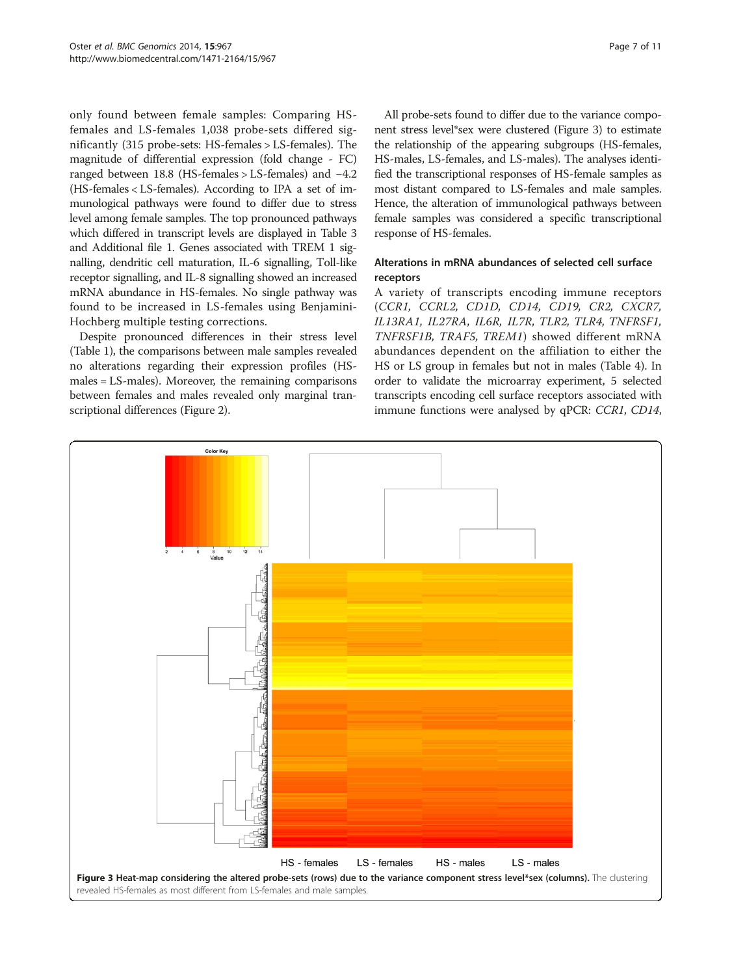<span id="page-6-0"></span>only found between female samples: Comparing HSfemales and LS-females 1,038 probe-sets differed significantly (315 probe-sets: HS-females > LS-females). The magnitude of differential expression (fold change - FC) ranged between 18.8 (HS-females > LS-females) and −4.2 (HS-females < LS-females). According to IPA a set of immunological pathways were found to differ due to stress level among female samples. The top pronounced pathways which differed in transcript levels are displayed in Table [3](#page-5-0) and Additional file [1](#page-9-0). Genes associated with TREM 1 signalling, dendritic cell maturation, IL-6 signalling, Toll-like receptor signalling, and IL-8 signalling showed an increased mRNA abundance in HS-females. No single pathway was found to be increased in LS-females using Benjamini-Hochberg multiple testing corrections.

Despite pronounced differences in their stress level (Table [1](#page-2-0)), the comparisons between male samples revealed no alterations regarding their expression profiles (HSmales = LS-males). Moreover, the remaining comparisons between females and males revealed only marginal transcriptional differences (Figure [2](#page-4-0)).

All probe-sets found to differ due to the variance component stress level\*sex were clustered (Figure 3) to estimate the relationship of the appearing subgroups (HS-females, HS-males, LS-females, and LS-males). The analyses identified the transcriptional responses of HS-female samples as most distant compared to LS-females and male samples. Hence, the alteration of immunological pathways between female samples was considered a specific transcriptional response of HS-females.

# Alterations in mRNA abundances of selected cell surface receptors

A variety of transcripts encoding immune receptors (CCR1, CCRL2, CD1D, CD14, CD19, CR2, CXCR7, IL13RA1, IL27RA, IL6R, IL7R, TLR2, TLR4, TNFRSF1, TNFRSF1B, TRAF5, TREM1) showed different mRNA abundances dependent on the affiliation to either the HS or LS group in females but not in males (Table [4](#page-7-0)). In order to validate the microarray experiment, 5 selected transcripts encoding cell surface receptors associated with immune functions were analysed by qPCR: CCR1, CD14,

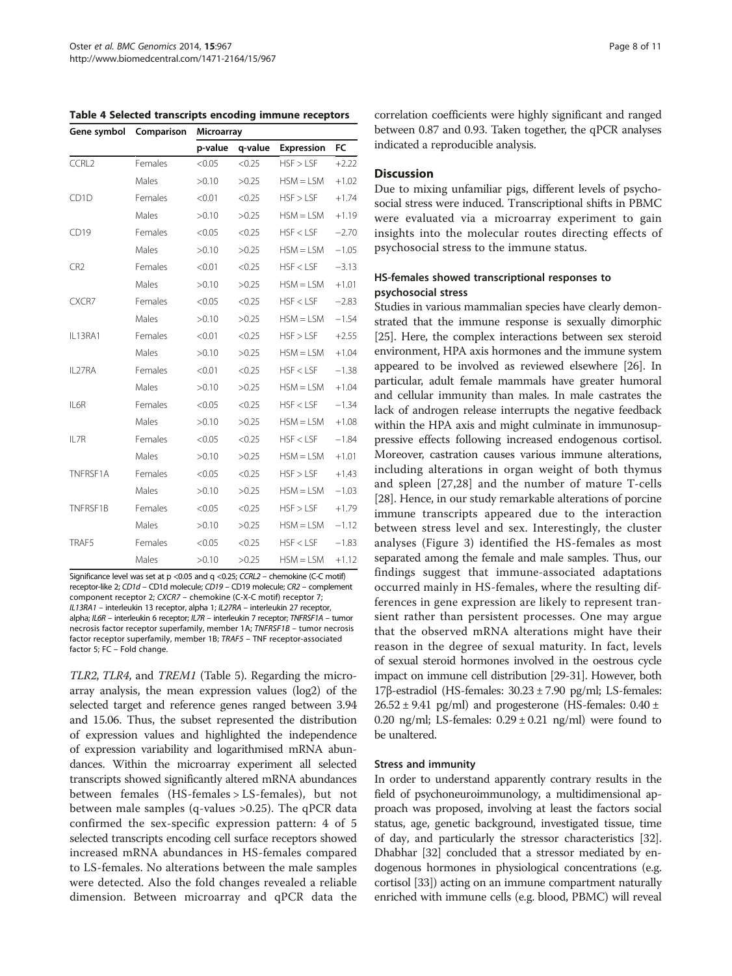| Gene symbol       | Comparison | Microarray |         |             |         |  |  |  |  |  |
|-------------------|------------|------------|---------|-------------|---------|--|--|--|--|--|
|                   |            | p-value    | q-value | Expression  | FC      |  |  |  |  |  |
| CCRL <sub>2</sub> | Females    | < 0.05     | < 0.25  | HSF > LSF   | $+2.22$ |  |  |  |  |  |
|                   | Males      | >0.10      | >0.25   | $HSM = LSM$ | $+1.02$ |  |  |  |  |  |
| CD <sub>1</sub> D | Females    | < 0.01     | < 0.25  | HSF > LSF   | $+1.74$ |  |  |  |  |  |
|                   | Males      | >0.10      | >0.25   | $HSM = LSM$ | $+1.19$ |  |  |  |  |  |
| CD19              | Females    | < 0.05     | < 0.25  | HSF < LSF   | $-2.70$ |  |  |  |  |  |
|                   | Males      | >0.10      | >0.25   | $HSM = LSM$ | $-1.05$ |  |  |  |  |  |
| CR <sub>2</sub>   | Females    | < 0.01     | < 0.25  | HSF < LSF   | $-3.13$ |  |  |  |  |  |
|                   | Males      | >0.10      | >0.25   | $HSM = LSM$ | $+1.01$ |  |  |  |  |  |
| CXCR7             | Females    | < 0.05     | < 0.25  | HSF < LSF   | $-2.83$ |  |  |  |  |  |
|                   | Males      | >0.10      | >0.25   | $HSM = LSM$ | $-1.54$ |  |  |  |  |  |
| IL13RA1           | Females    | < 0.01     | < 0.25  | HSF > LSF   | $+2.55$ |  |  |  |  |  |
|                   | Males      | >0.10      | >0.25   | $HSM = LSM$ | $+1.04$ |  |  |  |  |  |
| IL27RA            | Females    | < 0.01     | < 0.25  | HSF < LSF   | $-1.38$ |  |  |  |  |  |
|                   | Males      | >0.10      | >0.25   | $HSM = LSM$ | $+1.04$ |  |  |  |  |  |
| IL6R              | Females    | < 0.05     | < 0.25  | HSF < LSF   | $-1.34$ |  |  |  |  |  |
|                   | Males      | >0.10      | >0.25   | $HSM = LSM$ | $+1.08$ |  |  |  |  |  |
| IL7R              | Females    | < 0.05     | < 0.25  | HSF < LSF   | $-1.84$ |  |  |  |  |  |
|                   | Males      | >0.10      | >0.25   | $HSM = LSM$ | $+1.01$ |  |  |  |  |  |
| TNFRSF1A          | Females    | < 0.05     | < 0.25  | HSF > LSF   | $+1.43$ |  |  |  |  |  |
|                   | Males      | >0.10      | >0.25   | $HSM = LSM$ | $-1.03$ |  |  |  |  |  |
| TNFRSF1B          | Females    | < 0.05     | < 0.25  | HSF > LSF   | $+1.79$ |  |  |  |  |  |
|                   | Males      | >0.10      | >0.25   | $HSM = LSM$ | $-1.12$ |  |  |  |  |  |
| TRAF5             | Females    | < 0.05     | < 0.25  | HSF < LSF   | $-1.83$ |  |  |  |  |  |
|                   | Males      | >0.10      | >0.25   | $HSM = LSM$ | $+1.12$ |  |  |  |  |  |

<span id="page-7-0"></span>Table 4 Selected transcripts encoding immune receptors

Significance level was set at p <0.05 and q <0.25; CCRL2 – chemokine (C-C motif) receptor-like 2; CD1d – CD1d molecule; CD19 – CD19 molecule; CR2 – complement component receptor 2; CXCR7 – chemokine (C-X-C motif) receptor 7; IL13RA1 – interleukin 13 receptor, alpha 1; IL27RA – interleukin 27 receptor, alpha; IL6R – interleukin 6 receptor; IL7R – interleukin 7 receptor; TNFRSF1A – tumor necrosis factor receptor superfamily, member 1A; TNFRSF1B – tumor necrosis factor receptor superfamily, member 1B; TRAF5 – TNF receptor-associated factor 5; FC – Fold change.

TLR2, TLR4, and TREM1 (Table [5\)](#page-8-0). Regarding the microarray analysis, the mean expression values (log2) of the selected target and reference genes ranged between 3.94 and 15.06. Thus, the subset represented the distribution of expression values and highlighted the independence of expression variability and logarithmised mRNA abundances. Within the microarray experiment all selected transcripts showed significantly altered mRNA abundances between females (HS-females > LS-females), but not between male samples (q-values >0.25). The qPCR data confirmed the sex-specific expression pattern: 4 of 5 selected transcripts encoding cell surface receptors showed increased mRNA abundances in HS-females compared to LS-females. No alterations between the male samples were detected. Also the fold changes revealed a reliable dimension. Between microarray and qPCR data the

correlation coefficients were highly significant and ranged between 0.87 and 0.93. Taken together, the qPCR analyses indicated a reproducible analysis.

#### **Discussion**

Due to mixing unfamiliar pigs, different levels of psychosocial stress were induced. Transcriptional shifts in PBMC were evaluated via a microarray experiment to gain insights into the molecular routes directing effects of psychosocial stress to the immune status.

#### HS-females showed transcriptional responses to psychosocial stress

Studies in various mammalian species have clearly demonstrated that the immune response is sexually dimorphic [[25](#page-9-0)]. Here, the complex interactions between sex steroid environment, HPA axis hormones and the immune system appeared to be involved as reviewed elsewhere [\[26](#page-9-0)]. In particular, adult female mammals have greater humoral and cellular immunity than males. In male castrates the lack of androgen release interrupts the negative feedback within the HPA axis and might culminate in immunosuppressive effects following increased endogenous cortisol. Moreover, castration causes various immune alterations, including alterations in organ weight of both thymus and spleen [[27,28](#page-9-0)] and the number of mature T-cells [[28](#page-9-0)]. Hence, in our study remarkable alterations of porcine immune transcripts appeared due to the interaction between stress level and sex. Interestingly, the cluster analyses (Figure [3\)](#page-6-0) identified the HS-females as most separated among the female and male samples. Thus, our findings suggest that immune-associated adaptations occurred mainly in HS-females, where the resulting differences in gene expression are likely to represent transient rather than persistent processes. One may argue that the observed mRNA alterations might have their reason in the degree of sexual maturity. In fact, levels of sexual steroid hormones involved in the oestrous cycle impact on immune cell distribution [\[29](#page-9-0)-[31](#page-10-0)]. However, both 17β-estradiol (HS-females: 30.23 ± 7.90 pg/ml; LS-females:  $26.52 \pm 9.41$  pg/ml) and progesterone (HS-females:  $0.40 \pm 1$ 0.20 ng/ml; LS-females:  $0.29 \pm 0.21$  ng/ml) were found to be unaltered.

#### Stress and immunity

In order to understand apparently contrary results in the field of psychoneuroimmunology, a multidimensional approach was proposed, involving at least the factors social status, age, genetic background, investigated tissue, time of day, and particularly the stressor characteristics [[32](#page-10-0)]. Dhabhar [[32](#page-10-0)] concluded that a stressor mediated by endogenous hormones in physiological concentrations (e.g. cortisol [\[33\]](#page-10-0)) acting on an immune compartment naturally enriched with immune cells (e.g. blood, PBMC) will reveal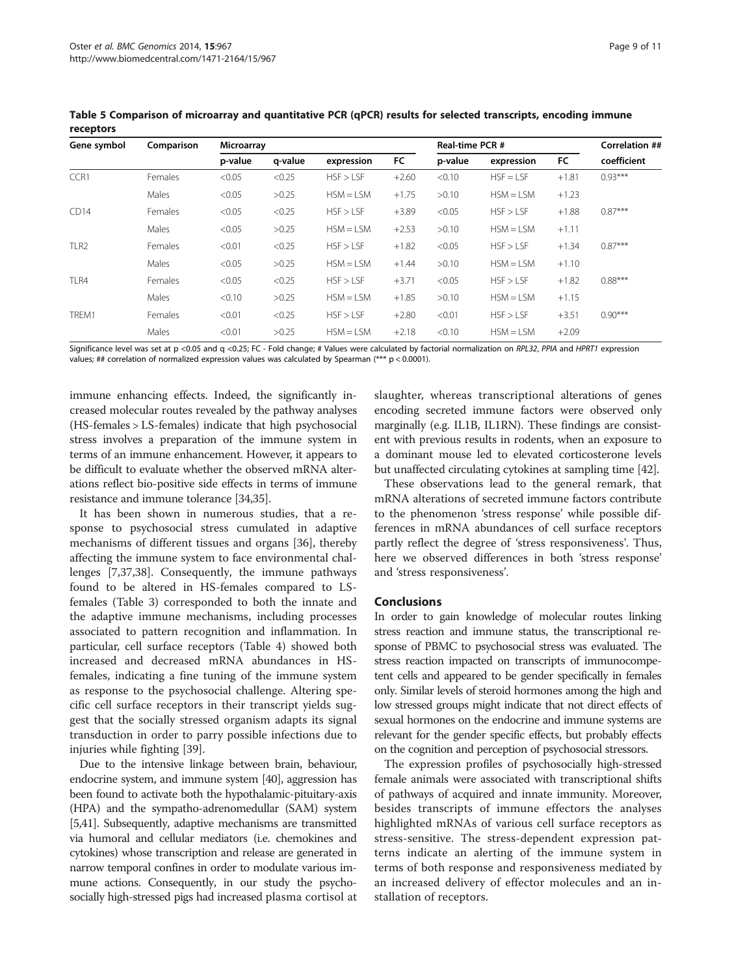| Gene symbol      | Comparison | <b>Microarray</b> |         |             |         | Real-time PCR # | Correlation ## |         |             |
|------------------|------------|-------------------|---------|-------------|---------|-----------------|----------------|---------|-------------|
|                  |            | p-value           | q-value | expression  | FC      | p-value         | expression     | FC      | coefficient |
| CCR1             | Females    | < 0.05            | < 0.25  | HSF > LSF   | $+2.60$ | < 0.10          | $HSF = LSF$    | $+1.81$ | $0.93***$   |
|                  | Males      | < 0.05            | >0.25   | $HSM = LSM$ | $+1.75$ | >0.10           | $HSM = LSM$    | $+1.23$ |             |
| CD14             | Females    | < 0.05            | < 0.25  | HSF > LSF   | $+3.89$ | < 0.05          | HSF > LSF      | $+1.88$ | $0.87***$   |
|                  | Males      | < 0.05            | >0.25   | $HSM = LSM$ | $+2.53$ | >0.10           | $HSM = LSM$    | $+1.11$ |             |
| TI <sub>R2</sub> | Females    | < 0.01            | < 0.25  | HSF > LSF   | $+1.82$ | < 0.05          | HSF > LSF      | $+1.34$ | $0.87***$   |
|                  | Males      | < 0.05            | >0.25   | $HSM = LSM$ | $+1.44$ | >0.10           | $HSM = LSM$    | $+1.10$ |             |
| TLR4             | Females    | < 0.05            | < 0.25  | HSF > LSF   | $+3.71$ | < 0.05          | HSF > LSF      | $+1.82$ | $0.88***$   |
|                  | Males      | < 0.10            | >0.25   | $HSM = LSM$ | $+1.85$ | >0.10           | $HSM = LSM$    | $+1.15$ |             |
| TREM1            | Females    | < 0.01            | < 0.25  | HSF > LSF   | $+2.80$ | < 0.01          | HSF > LSF      | $+3.51$ | $0.90***$   |
|                  | Males      | < 0.01            | >0.25   | $HSM = LSM$ | $+2.18$ | < 0.10          | $HSM = LSM$    | $+2.09$ |             |

<span id="page-8-0"></span>Table 5 Comparison of microarray and quantitative PCR (qPCR) results for selected transcripts, encoding immune receptors

Significance level was set at p <0.05 and q <0.25; FC - Fold change; # Values were calculated by factorial normalization on RPL32, PPIA and HPRT1 expression values; ## correlation of normalized expression values was calculated by Spearman (\*\*\* p < 0.0001).

immune enhancing effects. Indeed, the significantly increased molecular routes revealed by the pathway analyses (HS-females > LS-females) indicate that high psychosocial stress involves a preparation of the immune system in terms of an immune enhancement. However, it appears to be difficult to evaluate whether the observed mRNA alterations reflect bio-positive side effects in terms of immune resistance and immune tolerance [\[34,35](#page-10-0)].

It has been shown in numerous studies, that a response to psychosocial stress cumulated in adaptive mechanisms of different tissues and organs [[36](#page-10-0)], thereby affecting the immune system to face environmental challenges [[7,](#page-9-0)[37,38\]](#page-10-0). Consequently, the immune pathways found to be altered in HS-females compared to LSfemales (Table [3\)](#page-5-0) corresponded to both the innate and the adaptive immune mechanisms, including processes associated to pattern recognition and inflammation. In particular, cell surface receptors (Table [4\)](#page-7-0) showed both increased and decreased mRNA abundances in HSfemales, indicating a fine tuning of the immune system as response to the psychosocial challenge. Altering specific cell surface receptors in their transcript yields suggest that the socially stressed organism adapts its signal transduction in order to parry possible infections due to injuries while fighting [[39\]](#page-10-0).

Due to the intensive linkage between brain, behaviour, endocrine system, and immune system [\[40\]](#page-10-0), aggression has been found to activate both the hypothalamic-pituitary-axis (HPA) and the sympatho-adrenomedullar (SAM) system [[5](#page-9-0)[,41\]](#page-10-0). Subsequently, adaptive mechanisms are transmitted via humoral and cellular mediators (i.e. chemokines and cytokines) whose transcription and release are generated in narrow temporal confines in order to modulate various immune actions. Consequently, in our study the psychosocially high-stressed pigs had increased plasma cortisol at

slaughter, whereas transcriptional alterations of genes encoding secreted immune factors were observed only marginally (e.g. IL1B, IL1RN). These findings are consistent with previous results in rodents, when an exposure to a dominant mouse led to elevated corticosterone levels but unaffected circulating cytokines at sampling time [[42](#page-10-0)].

These observations lead to the general remark, that mRNA alterations of secreted immune factors contribute to the phenomenon 'stress response' while possible differences in mRNA abundances of cell surface receptors partly reflect the degree of 'stress responsiveness'. Thus, here we observed differences in both 'stress response' and 'stress responsiveness'.

# Conclusions

In order to gain knowledge of molecular routes linking stress reaction and immune status, the transcriptional response of PBMC to psychosocial stress was evaluated. The stress reaction impacted on transcripts of immunocompetent cells and appeared to be gender specifically in females only. Similar levels of steroid hormones among the high and low stressed groups might indicate that not direct effects of sexual hormones on the endocrine and immune systems are relevant for the gender specific effects, but probably effects on the cognition and perception of psychosocial stressors.

The expression profiles of psychosocially high-stressed female animals were associated with transcriptional shifts of pathways of acquired and innate immunity. Moreover, besides transcripts of immune effectors the analyses highlighted mRNAs of various cell surface receptors as stress-sensitive. The stress-dependent expression patterns indicate an alerting of the immune system in terms of both response and responsiveness mediated by an increased delivery of effector molecules and an installation of receptors.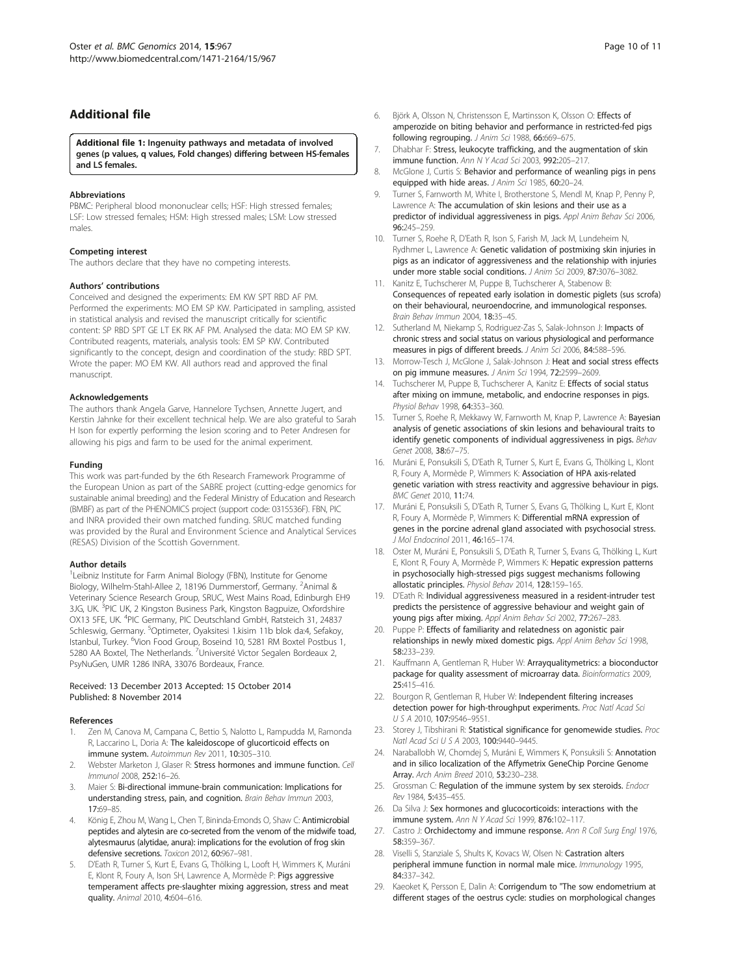# <span id="page-9-0"></span>Additional file

[Additional file 1:](http://www.biomedcentral.com/content/supplementary/1471-2164-15-967-S1.xls) Ingenuity pathways and metadata of involved genes (p values, q values, Fold changes) differing between HS-females and LS females.

#### Abbreviations

PBMC: Peripheral blood mononuclear cells; HSF: High stressed females; LSF: Low stressed females; HSM: High stressed males; LSM: Low stressed males.

#### Competing interest

The authors declare that they have no competing interests.

#### Authors' contributions

Conceived and designed the experiments: EM KW SPT RBD AF PM. Performed the experiments: MO EM SP KW. Participated in sampling, assisted in statistical analysis and revised the manuscript critically for scientific content: SP RBD SPT GE LT EK RK AF PM. Analysed the data: MO EM SP KW. Contributed reagents, materials, analysis tools: EM SP KW. Contributed significantly to the concept, design and coordination of the study: RBD SPT. Wrote the paper: MO EM KW. All authors read and approved the final manuscript.

#### Acknowledgements

The authors thank Angela Garve, Hannelore Tychsen, Annette Jugert, and Kerstin Jahnke for their excellent technical help. We are also grateful to Sarah H Ison for expertly performing the lesion scoring and to Peter Andresen for allowing his pigs and farm to be used for the animal experiment.

#### Funding

This work was part-funded by the 6th Research Framework Programme of the European Union as part of the SABRE project (cutting-edge genomics for sustainable animal breeding) and the Federal Ministry of Education and Research (BMBF) as part of the PHENOMICS project (support code: 0315536F). FBN, PIC and INRA provided their own matched funding. SRUC matched funding was provided by the Rural and Environment Science and Analytical Services (RESAS) Division of the Scottish Government.

#### Author details

<sup>1</sup>Leibniz Institute for Farm Animal Biology (FBN), Institute for Genome Biology, Wilhelm-Stahl-Allee 2, 18196 Dummerstorf, Germany. <sup>2</sup>Animal & Veterinary Science Research Group, SRUC, West Mains Road, Edinburgh EH9 3JG, UK. <sup>3</sup>PIC UK, 2 Kingston Business Park, Kingston Bagpuize, Oxfordshire OX13 5FE, UK. <sup>4</sup>PIC Germany, PIC Deutschland GmbH, Ratsteich 31, 24837 Schleswig, Germany. <sup>5</sup>Optimeter, Oyaksitesi 1.kisim 11b blok da:4, Sefakoy, Istanbul, Turkey. <sup>6</sup>Vion Food Group, Boseind 10, 5281 RM Boxtel Postbus 1, 5280 AA Boxtel, The Netherlands. <sup>7</sup>Université Victor Segalen Bordeaux 2, PsyNuGen, UMR 1286 INRA, 33076 Bordeaux, France.

#### Received: 13 December 2013 Accepted: 15 October 2014 Published: 8 November 2014

#### References

- 1. Zen M, Canova M, Campana C, Bettio S, Nalotto L, Rampudda M, Ramonda R, Laccarino L, Doria A: The kaleidoscope of glucorticoid effects on immune system. Autoimmun Rev 2011, 10:305–310.
- 2. Webster Marketon J, Glaser R: Stress hormones and immune function. Cell Immunol 2008, 252:16–26.
- Maier S: Bi-directional immune-brain communication: Implications for understanding stress, pain, and cognition. Brain Behav Immun 2003, 17:69–85.
- 4. König E, Zhou M, Wang L, Chen T, Bininda-Emonds O, Shaw C: Antimicrobial peptides and alytesin are co-secreted from the venom of the midwife toad, alytesmaurus (alytidae, anura): implications for the evolution of frog skin defensive secretions. Toxicon 2012, 60:967-981.
- 5. D'Eath R, Turner S, Kurt E, Evans G, Thölking L, Looft H, Wimmers K, Muráni E, Klont R, Foury A, Ison SH, Lawrence A, Mormède P: Pigs aggressive temperament affects pre-slaughter mixing aggression, stress and meat quality. Animal 2010, 4:604–616.
- 6. Björk A, Olsson N, Christensson E, Martinsson K, Olsson O: Effects of amperozide on biting behavior and performance in restricted-fed pigs following regrouping. J Anim Sci 1988, 66:669-675.
- 7. Dhabhar F: Stress, leukocyte trafficking, and the augmentation of skin immune function. Ann N Y Acad Sci 2003, 992:205–217.
- 8. McGlone J, Curtis S: Behavior and performance of weanling pigs in pens equipped with hide areas. J Anim Sci 1985, 60:20-24.
- 9. Turner S, Farnworth M, White I, Brotherstone S, Mendl M, Knap P, Penny P, Lawrence A: The accumulation of skin lesions and their use as a predictor of individual aggressiveness in pigs. Appl Anim Behav Sci 2006, 96:245–259.
- 10. Turner S, Roehe R, D'Eath R, Ison S, Farish M, Jack M, Lundeheim N, Rydhmer L, Lawrence A: Genetic validation of postmixing skin injuries in pigs as an indicator of aggressiveness and the relationship with injuries under more stable social conditions. J Anim Sci 2009, 87:3076-3082.
- 11. Kanitz E, Tuchscherer M, Puppe B, Tuchscherer A, Stabenow B: Consequences of repeated early isolation in domestic piglets (sus scrofa) on their behavioural, neuroendocrine, and immunological responses. Brain Behav Immun 2004, 18:35–45.
- 12. Sutherland M, Niekamp S, Rodriguez-Zas S, Salak-Johnson J: Impacts of chronic stress and social status on various physiological and performance measures in pigs of different breeds. J Anim Sci 2006, 84:588–596.
- 13. Morrow-Tesch J, McGlone J, Salak-Johnson J: Heat and social stress effects on pig immune measures. J Anim Sci 1994, 72:2599–2609.
- 14. Tuchscherer M, Puppe B, Tuchscherer A, Kanitz E: Effects of social status after mixing on immune, metabolic, and endocrine responses in pigs. Physiol Behav 1998, 64:353–360.
- 15. Turner S, Roehe R, Mekkawy W, Farnworth M, Knap P, Lawrence A: Bayesian analysis of genetic associations of skin lesions and behavioural traits to identify genetic components of individual aggressiveness in pigs. Behave Genet 2008, 38:67–75.
- 16. Muráni E, Ponsuksili S, D'Eath R, Turner S, Kurt E, Evans G, Thölking L, Klont R, Foury A, Mormède P, Wimmers K: Association of HPA axis-related genetic variation with stress reactivity and aggressive behaviour in pigs. BMC Genet 2010, 11:74.
- 17. Muráni E, Ponsuksili S, D'Eath R, Turner S, Evans G, Thölking L, Kurt E, Klont R, Foury A, Mormède P, Wimmers K: Differential mRNA expression of genes in the porcine adrenal gland associated with psychosocial stress. J Mol Endocrinol 2011, 46:165-174.
- 18. Oster M, Muráni E, Ponsuksili S, D'Eath R, Turner S, Evans G, Thölking L, Kurt E, Klont R, Foury A, Mormède P, Wimmers K: Hepatic expression patterns in psychosocially high-stressed pigs suggest mechanisms following allostatic principles. Physiol Behav 2014, 128:159-165.
- 19. D'Eath R: Individual aggressiveness measured in a resident-intruder test predicts the persistence of aggressive behaviour and weight gain of young pigs after mixing. Appl Anim Behav Sci 2002, 77:267–283.
- 20. Puppe P: Effects of familiarity and relatedness on agonistic pair relationships in newly mixed domestic pigs. Appl Anim Behav Sci 1998, 58:233–239.
- 21. Kauffmann A, Gentleman R, Huber W: Arrayqualitymetrics: a bioconductor package for quality assessment of microarray data. Bioinformatics 2009, 25:415–416.
- 22. Bourgon R, Gentleman R, Huber W: Independent filtering increases detection power for high-throughput experiments. Proc Natl Acad Sci USA 2010, 107:9546–9551.
- 23. Storey J, Tibshirani R: Statistical significance for genomewide studies. Proc Natl Acad Sci U S A 2003, 100:9440-9445.
- 24. Naraballobh W, Chomdej S, Muráni E, Wimmers K, Ponsuksili S: Annotation and in silico localization of the Affymetrix GeneChip Porcine Genome Array. Arch Anim Breed 2010, 53:230–238.
- 25. Grossman C: Regulation of the immune system by sex steroids. Endocr Rev 1984, 5:435–455.
- 26. Da Silva J: Sex hormones and glucocorticoids: interactions with the immune system. Ann N Y Acad Sci 1999, 876:102–117.
- 27. Castro J: Orchidectomy and immune response. Ann R Coll Surg Engl 1976, 58:359–367.
- 28. Viselli S, Stanziale S, Shults K, Kovacs W, Olsen N: Castration alters peripheral immune function in normal male mice. Immunology 1995, 84:337–342.
- 29. Kaeoket K, Persson E, Dalin A: Corrigendum to "The sow endometrium at different stages of the oestrus cycle: studies on morphological changes